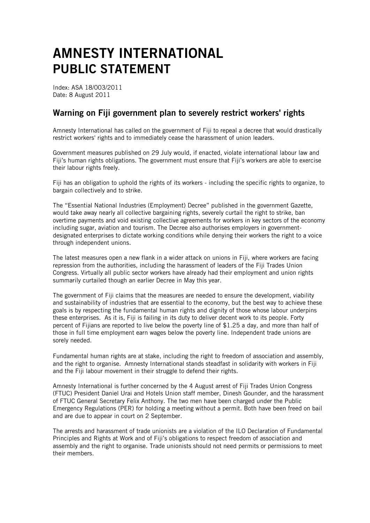## AMNESTY INTERNATIONAL PUBLIC STATEMENT

Index: ASA 18/003/2011 Date: 8 August 2011

## Warning on Fiji government plan to severely restrict workers' rights

Amnesty International has called on the government of Fiji to repeal a decree that would drastically restrict workers' rights and to immediately cease the harassment of union leaders.

Government measures published on 29 July would, if enacted, violate international labour law and Fiji's human rights obligations. The government must ensure that Fiji's workers are able to exercise their labour rights freely.

Fiji has an obligation to uphold the rights of its workers - including the specific rights to organize, to bargain collectively and to strike.

The "Essential National Industries (Employment) Decree" published in the government Gazette, would take away nearly all collective bargaining rights, severely curtail the right to strike, ban overtime payments and void existing collective agreements for workers in key sectors of the economy including sugar, aviation and tourism. The Decree also authorises employers in governmentdesignated enterprises to dictate working conditions while denying their workers the right to a voice through independent unions.

The latest measures open a new flank in a wider attack on unions in Fiji, where workers are facing repression from the authorities, including the harassment of leaders of the Fiji Trades Union Congress. Virtually all public sector workers have already had their employment and union rights summarily curtailed though an earlier Decree in May this year.

The government of Fiji claims that the measures are needed to ensure the development, viability and sustainability of industries that are essential to the economy, but the best way to achieve these goals is by respecting the fundamental human rights and dignity of those whose labour underpins these enterprises. As it is, Fiji is failing in its duty to deliver decent work to its people. Forty percent of Fijians are reported to live below the poverty line of \$1.25 a day, and more than half of those in full time employment earn wages below the poverty line. Independent trade unions are sorely needed.

Fundamental human rights are at stake, including the right to freedom of association and assembly, and the right to organise. Amnesty International stands steadfast in solidarity with workers in Fiji and the Fiji labour movement in their struggle to defend their rights.

Amnesty International is further concerned by the 4 August arrest of Fiji Trades Union Congress (FTUC) President Daniel Urai and Hotels Union staff member, Dinesh Gounder, and the harassment of FTUC General Secretary Felix Anthony. The two men have been charged under the Public Emergency Regulations (PER) for holding a meeting without a permit. Both have been freed on bail and are due to appear in court on 2 September.

The arrests and harassment of trade unionists are a violation of the ILO Declaration of Fundamental Principles and Rights at Work and of Fiji's obligations to respect freedom of association and assembly and the right to organise. Trade unionists should not need permits or permissions to meet their members.